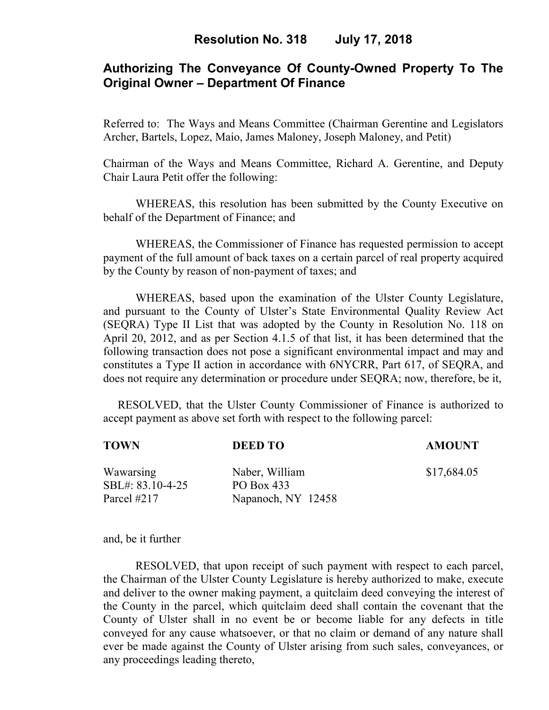# **Authorizing The Conveyance Of County-Owned Property To The Original Owner – Department Of Finance**

Referred to: The Ways and Means Committee (Chairman Gerentine and Legislators Archer, Bartels, Lopez, Maio, James Maloney, Joseph Maloney, and Petit)

Chairman of the Ways and Means Committee, Richard A. Gerentine, and Deputy Chair Laura Petit offer the following:

WHEREAS, this resolution has been submitted by the County Executive on behalf of the Department of Finance; and

 WHEREAS, the Commissioner of Finance has requested permission to accept payment of the full amount of back taxes on a certain parcel of real property acquired by the County by reason of non-payment of taxes; and

WHEREAS, based upon the examination of the Ulster County Legislature, and pursuant to the County of Ulster's State Environmental Quality Review Act (SEQRA) Type II List that was adopted by the County in Resolution No. 118 on April 20, 2012, and as per Section 4.1.5 of that list, it has been determined that the following transaction does not pose a significant environmental impact and may and constitutes a Type II action in accordance with 6NYCRR, Part 617, of SEQRA, and does not require any determination or procedure under SEQRA; now, therefore, be it,

 RESOLVED, that the Ulster County Commissioner of Finance is authorized to accept payment as above set forth with respect to the following parcel:

| TOWN                                         | <b>DEED TO</b>                                     | <b>AMOUNT</b> |
|----------------------------------------------|----------------------------------------------------|---------------|
| Wawarsing<br>SBL#: 83.10-4-25<br>Parcel #217 | Naber, William<br>PO Box 433<br>Napanoch, NY 12458 | \$17,684.05   |
|                                              |                                                    |               |

and, be it further

RESOLVED, that upon receipt of such payment with respect to each parcel, the Chairman of the Ulster County Legislature is hereby authorized to make, execute and deliver to the owner making payment, a quitclaim deed conveying the interest of the County in the parcel, which quitclaim deed shall contain the covenant that the County of Ulster shall in no event be or become liable for any defects in title conveyed for any cause whatsoever, or that no claim or demand of any nature shall ever be made against the County of Ulster arising from such sales, conveyances, or any proceedings leading thereto,